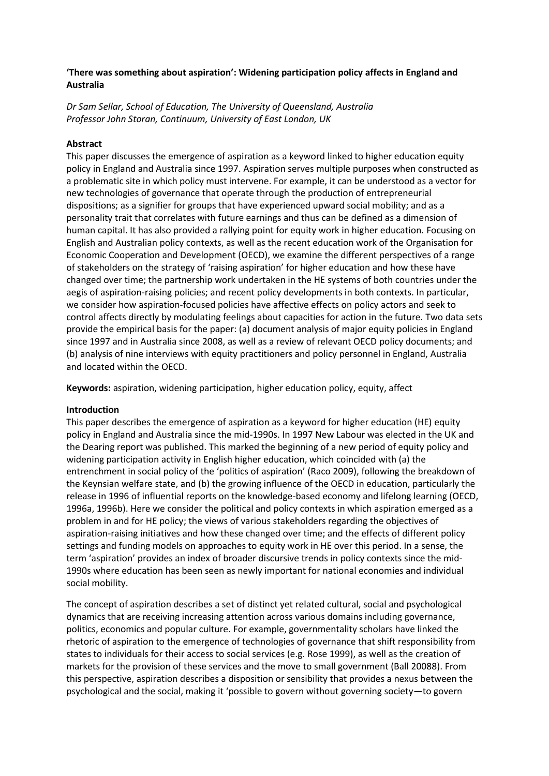## **'There was something about aspiration': Widening participation policy affects in England and Australia**

*Dr Sam Sellar, School of Education, The University of Queensland, Australia Professor John Storan, Continuum, University of East London, UK*

# **Abstract**

This paper discusses the emergence of aspiration as a keyword linked to higher education equity policy in England and Australia since 1997. Aspiration serves multiple purposes when constructed as a problematic site in which policy must intervene. For example, it can be understood as a vector for new technologies of governance that operate through the production of entrepreneurial dispositions; as a signifier for groups that have experienced upward social mobility; and as a personality trait that correlates with future earnings and thus can be defined as a dimension of human capital. It has also provided a rallying point for equity work in higher education. Focusing on English and Australian policy contexts, as well as the recent education work of the Organisation for Economic Cooperation and Development (OECD), we examine the different perspectives of a range of stakeholders on the strategy of 'raising aspiration' for higher education and how these have changed over time; the partnership work undertaken in the HE systems of both countries under the aegis of aspiration-raising policies; and recent policy developments in both contexts. In particular, we consider how aspiration-focused policies have affective effects on policy actors and seek to control affects directly by modulating feelings about capacities for action in the future. Two data sets provide the empirical basis for the paper: (a) document analysis of major equity policies in England since 1997 and in Australia since 2008, as well as a review of relevant OECD policy documents; and (b) analysis of nine interviews with equity practitioners and policy personnel in England, Australia and located within the OECD.

**Keywords:** aspiration, widening participation, higher education policy, equity, affect

## **Introduction**

This paper describes the emergence of aspiration as a keyword for higher education (HE) equity policy in England and Australia since the mid-1990s. In 1997 New Labour was elected in the UK and the Dearing report was published. This marked the beginning of a new period of equity policy and widening participation activity in English higher education, which coincided with (a) the entrenchment in social policy of the 'politics of aspiration' (Raco 2009), following the breakdown of the Keynsian welfare state, and (b) the growing influence of the OECD in education, particularly the release in 1996 of influential reports on the knowledge-based economy and lifelong learning (OECD, 1996a, 1996b). Here we consider the political and policy contexts in which aspiration emerged as a problem in and for HE policy; the views of various stakeholders regarding the objectives of aspiration-raising initiatives and how these changed over time; and the effects of different policy settings and funding models on approaches to equity work in HE over this period. In a sense, the term 'aspiration' provides an index of broader discursive trends in policy contexts since the mid-1990s where education has been seen as newly important for national economies and individual social mobility.

The concept of aspiration describes a set of distinct yet related cultural, social and psychological dynamics that are receiving increasing attention across various domains including governance, politics, economics and popular culture. For example, governmentality scholars have linked the rhetoric of aspiration to the emergence of technologies of governance that shift responsibility from states to individuals for their access to social services (e.g. Rose 1999), as well as the creation of markets for the provision of these services and the move to small government (Ball 20088). From this perspective, aspiration describes a disposition or sensibility that provides a nexus between the psychological and the social, making it 'possible to govern without governing society—to govern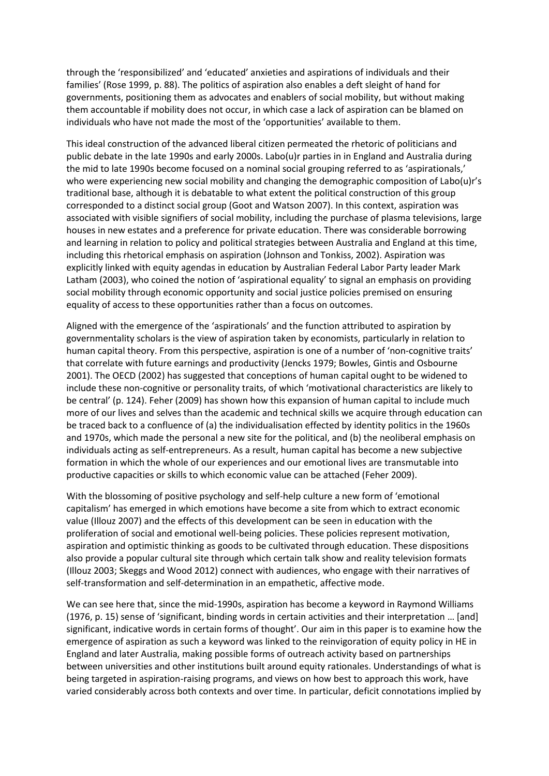through the 'responsibilized' and 'educated' anxieties and aspirations of individuals and their families' (Rose 1999, p. 88). The politics of aspiration also enables a deft sleight of hand for governments, positioning them as advocates and enablers of social mobility, but without making them accountable if mobility does not occur, in which case a lack of aspiration can be blamed on individuals who have not made the most of the 'opportunities' available to them.

This ideal construction of the advanced liberal citizen permeated the rhetoric of politicians and public debate in the late 1990s and early 2000s. Labo(u)r parties in in England and Australia during the mid to late 1990s become focused on a nominal social grouping referred to as 'aspirationals,' who were experiencing new social mobility and changing the demographic composition of Labo(u)r's traditional base, although it is debatable to what extent the political construction of this group corresponded to a distinct social group (Goot and Watson 2007). In this context, aspiration was associated with visible signifiers of social mobility, including the purchase of plasma televisions, large houses in new estates and a preference for private education. There was considerable borrowing and learning in relation to policy and political strategies between Australia and England at this time, including this rhetorical emphasis on aspiration (Johnson and Tonkiss, 2002). Aspiration was explicitly linked with equity agendas in education by Australian Federal Labor Party leader Mark Latham (2003), who coined the notion of 'aspirational equality' to signal an emphasis on providing social mobility through economic opportunity and social justice policies premised on ensuring equality of access to these opportunities rather than a focus on outcomes.

Aligned with the emergence of the 'aspirationals' and the function attributed to aspiration by governmentality scholars is the view of aspiration taken by economists, particularly in relation to human capital theory. From this perspective, aspiration is one of a number of 'non-cognitive traits' that correlate with future earnings and productivity (Jencks 1979; Bowles, Gintis and Osbourne 2001). The OECD (2002) has suggested that conceptions of human capital ought to be widened to include these non-cognitive or personality traits, of which 'motivational characteristics are likely to be central' (p. 124). Feher (2009) has shown how this expansion of human capital to include much more of our lives and selves than the academic and technical skills we acquire through education can be traced back to a confluence of (a) the individualisation effected by identity politics in the 1960s and 1970s, which made the personal a new site for the political, and (b) the neoliberal emphasis on individuals acting as self-entrepreneurs. As a result, human capital has become a new subjective formation in which the whole of our experiences and our emotional lives are transmutable into productive capacities or skills to which economic value can be attached (Feher 2009).

With the blossoming of positive psychology and self-help culture a new form of 'emotional capitalism' has emerged in which emotions have become a site from which to extract economic value (Illouz 2007) and the effects of this development can be seen in education with the proliferation of social and emotional well-being policies. These policies represent motivation, aspiration and optimistic thinking as goods to be cultivated through education. These dispositions also provide a popular cultural site through which certain talk show and reality television formats (Illouz 2003; Skeggs and Wood 2012) connect with audiences, who engage with their narratives of self-transformation and self-determination in an empathetic, affective mode.

We can see here that, since the mid-1990s, aspiration has become a keyword in Raymond Williams (1976, p. 15) sense of 'significant, binding words in certain activities and their interpretation … [and] significant, indicative words in certain forms of thought'. Our aim in this paper is to examine how the emergence of aspiration as such a keyword was linked to the reinvigoration of equity policy in HE in England and later Australia, making possible forms of outreach activity based on partnerships between universities and other institutions built around equity rationales. Understandings of what is being targeted in aspiration-raising programs, and views on how best to approach this work, have varied considerably across both contexts and over time. In particular, deficit connotations implied by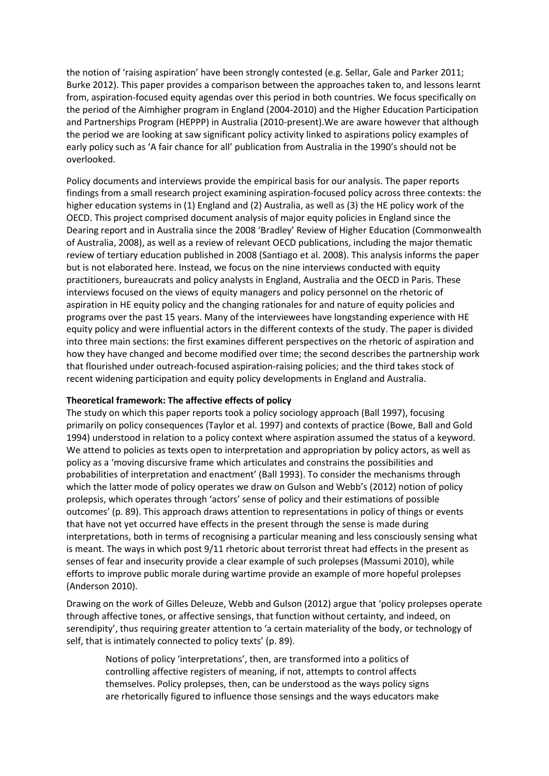the notion of 'raising aspiration' have been strongly contested (e.g. Sellar, Gale and Parker 2011; Burke 2012). This paper provides a comparison between the approaches taken to, and lessons learnt from, aspiration-focused equity agendas over this period in both countries. We focus specifically on the period of the Aimhigher program in England (2004-2010) and the Higher Education Participation and Partnerships Program (HEPPP) in Australia (2010-present).We are aware however that although the period we are looking at saw significant policy activity linked to aspirations policy examples of early policy such as 'A fair chance for all' publication from Australia in the 1990's should not be overlooked.

Policy documents and interviews provide the empirical basis for our analysis. The paper reports findings from a small research project examining aspiration-focused policy across three contexts: the higher education systems in (1) England and (2) Australia, as well as (3) the HE policy work of the OECD. This project comprised document analysis of major equity policies in England since the Dearing report and in Australia since the 2008 'Bradley' Review of Higher Education (Commonwealth of Australia, 2008), as well as a review of relevant OECD publications, including the major thematic review of tertiary education published in 2008 (Santiago et al. 2008). This analysis informs the paper but is not elaborated here. Instead, we focus on the nine interviews conducted with equity practitioners, bureaucrats and policy analysts in England, Australia and the OECD in Paris. These interviews focused on the views of equity managers and policy personnel on the rhetoric of aspiration in HE equity policy and the changing rationales for and nature of equity policies and programs over the past 15 years. Many of the interviewees have longstanding experience with HE equity policy and were influential actors in the different contexts of the study. The paper is divided into three main sections: the first examines different perspectives on the rhetoric of aspiration and how they have changed and become modified over time; the second describes the partnership work that flourished under outreach-focused aspiration-raising policies; and the third takes stock of recent widening participation and equity policy developments in England and Australia.

## **Theoretical framework: The affective effects of policy**

The study on which this paper reports took a policy sociology approach (Ball 1997), focusing primarily on policy consequences (Taylor et al. 1997) and contexts of practice (Bowe, Ball and Gold 1994) understood in relation to a policy context where aspiration assumed the status of a keyword. We attend to policies as texts open to interpretation and appropriation by policy actors, as well as policy as a 'moving discursive frame which articulates and constrains the possibilities and probabilities of interpretation and enactment' (Ball 1993). To consider the mechanisms through which the latter mode of policy operates we draw on Gulson and Webb's (2012) notion of policy prolepsis, which operates through 'actors' sense of policy and their estimations of possible outcomes' (p. 89). This approach draws attention to representations in policy of things or events that have not yet occurred have effects in the present through the sense is made during interpretations, both in terms of recognising a particular meaning and less consciously sensing what is meant. The ways in which post 9/11 rhetoric about terrorist threat had effects in the present as senses of fear and insecurity provide a clear example of such prolepses (Massumi 2010), while efforts to improve public morale during wartime provide an example of more hopeful prolepses (Anderson 2010).

Drawing on the work of Gilles Deleuze, Webb and Gulson (2012) argue that 'policy prolepses operate through affective tones, or affective sensings, that function without certainty, and indeed, on serendipity', thus requiring greater attention to 'a certain materiality of the body, or technology of self, that is intimately connected to policy texts' (p. 89).

Notions of policy 'interpretations', then, are transformed into a politics of controlling affective registers of meaning, if not, attempts to control affects themselves. Policy prolepses, then, can be understood as the ways policy signs are rhetorically figured to influence those sensings and the ways educators make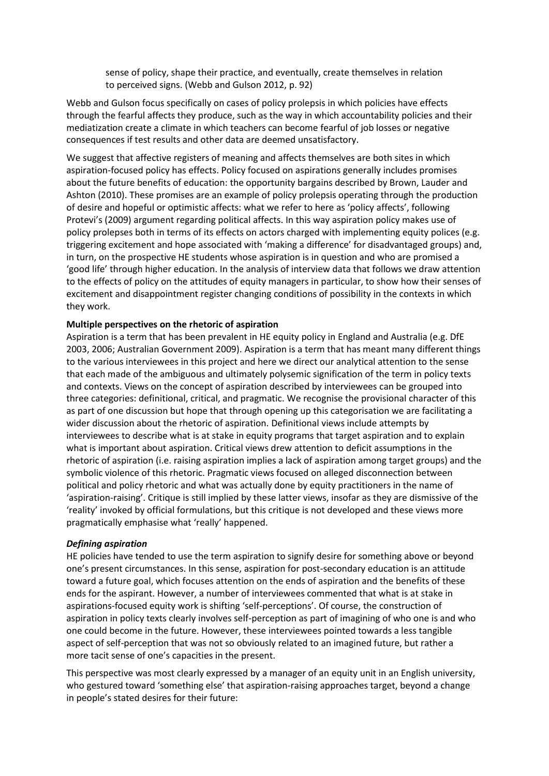sense of policy, shape their practice, and eventually, create themselves in relation to perceived signs. (Webb and Gulson 2012, p. 92)

Webb and Gulson focus specifically on cases of policy prolepsis in which policies have effects through the fearful affects they produce, such as the way in which accountability policies and their mediatization create a climate in which teachers can become fearful of job losses or negative consequences if test results and other data are deemed unsatisfactory.

We suggest that affective registers of meaning and affects themselves are both sites in which aspiration-focused policy has effects. Policy focused on aspirations generally includes promises about the future benefits of education: the opportunity bargains described by Brown, Lauder and Ashton (2010). These promises are an example of policy prolepsis operating through the production of desire and hopeful or optimistic affects: what we refer to here as 'policy affects', following Protevi's (2009) argument regarding political affects. In this way aspiration policy makes use of policy prolepses both in terms of its effects on actors charged with implementing equity polices (e.g. triggering excitement and hope associated with 'making a difference' for disadvantaged groups) and, in turn, on the prospective HE students whose aspiration is in question and who are promised a 'good life' through higher education. In the analysis of interview data that follows we draw attention to the effects of policy on the attitudes of equity managers in particular, to show how their senses of excitement and disappointment register changing conditions of possibility in the contexts in which they work.

### **Multiple perspectives on the rhetoric of aspiration**

Aspiration is a term that has been prevalent in HE equity policy in England and Australia (e.g. DfE 2003, 2006; Australian Government 2009). Aspiration is a term that has meant many different things to the various interviewees in this project and here we direct our analytical attention to the sense that each made of the ambiguous and ultimately polysemic signification of the term in policy texts and contexts. Views on the concept of aspiration described by interviewees can be grouped into three categories: definitional, critical, and pragmatic. We recognise the provisional character of this as part of one discussion but hope that through opening up this categorisation we are facilitating a wider discussion about the rhetoric of aspiration. Definitional views include attempts by interviewees to describe what is at stake in equity programs that target aspiration and to explain what is important about aspiration. Critical views drew attention to deficit assumptions in the rhetoric of aspiration (i.e. raising aspiration implies a lack of aspiration among target groups) and the symbolic violence of this rhetoric. Pragmatic views focused on alleged disconnection between political and policy rhetoric and what was actually done by equity practitioners in the name of 'aspiration-raising'. Critique is still implied by these latter views, insofar as they are dismissive of the 'reality' invoked by official formulations, but this critique is not developed and these views more pragmatically emphasise what 'really' happened.

#### *Defining aspiration*

HE policies have tended to use the term aspiration to signify desire for something above or beyond one's present circumstances. In this sense, aspiration for post-secondary education is an attitude toward a future goal, which focuses attention on the ends of aspiration and the benefits of these ends for the aspirant. However, a number of interviewees commented that what is at stake in aspirations-focused equity work is shifting 'self-perceptions'. Of course, the construction of aspiration in policy texts clearly involves self-perception as part of imagining of who one is and who one could become in the future. However, these interviewees pointed towards a less tangible aspect of self-perception that was not so obviously related to an imagined future, but rather a more tacit sense of one's capacities in the present.

This perspective was most clearly expressed by a manager of an equity unit in an English university, who gestured toward 'something else' that aspiration-raising approaches target, beyond a change in people's stated desires for their future: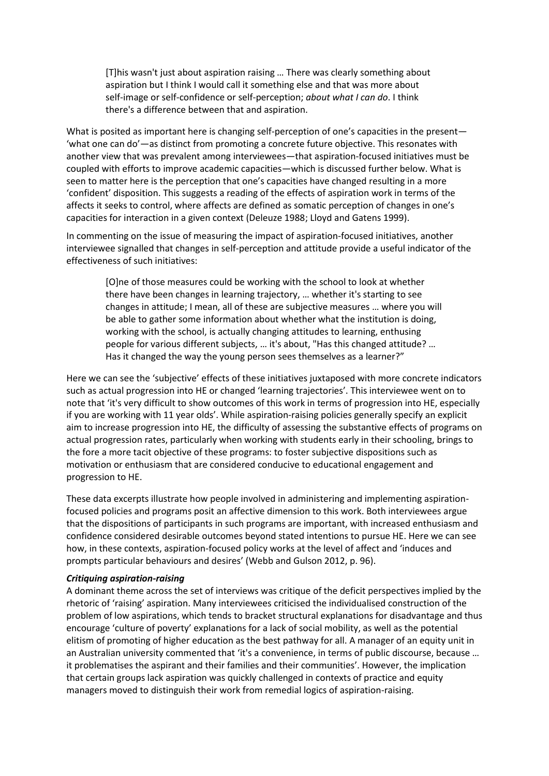[T]his wasn't just about aspiration raising … There was clearly something about aspiration but I think I would call it something else and that was more about self-image or self-confidence or self-perception; *about what I can do*. I think there's a difference between that and aspiration.

What is posited as important here is changing self-perception of one's capacities in the present— 'what one can do'—as distinct from promoting a concrete future objective. This resonates with another view that was prevalent among interviewees—that aspiration-focused initiatives must be coupled with efforts to improve academic capacities—which is discussed further below. What is seen to matter here is the perception that one's capacities have changed resulting in a more 'confident' disposition. This suggests a reading of the effects of aspiration work in terms of the affects it seeks to control, where affects are defined as somatic perception of changes in one's capacities for interaction in a given context (Deleuze 1988; Lloyd and Gatens 1999).

In commenting on the issue of measuring the impact of aspiration-focused initiatives, another interviewee signalled that changes in self-perception and attitude provide a useful indicator of the effectiveness of such initiatives:

[O]ne of those measures could be working with the school to look at whether there have been changes in learning trajectory, … whether it's starting to see changes in attitude; I mean, all of these are subjective measures … where you will be able to gather some information about whether what the institution is doing, working with the school, is actually changing attitudes to learning, enthusing people for various different subjects, … it's about, "Has this changed attitude? … Has it changed the way the young person sees themselves as a learner?"

Here we can see the 'subjective' effects of these initiatives juxtaposed with more concrete indicators such as actual progression into HE or changed 'learning trajectories'. This interviewee went on to note that 'it's very difficult to show outcomes of this work in terms of progression into HE, especially if you are working with 11 year olds'. While aspiration-raising policies generally specify an explicit aim to increase progression into HE, the difficulty of assessing the substantive effects of programs on actual progression rates, particularly when working with students early in their schooling, brings to the fore a more tacit objective of these programs: to foster subjective dispositions such as motivation or enthusiasm that are considered conducive to educational engagement and progression to HE.

These data excerpts illustrate how people involved in administering and implementing aspirationfocused policies and programs posit an affective dimension to this work. Both interviewees argue that the dispositions of participants in such programs are important, with increased enthusiasm and confidence considered desirable outcomes beyond stated intentions to pursue HE. Here we can see how, in these contexts, aspiration-focused policy works at the level of affect and 'induces and prompts particular behaviours and desires' (Webb and Gulson 2012, p. 96).

#### *Critiquing aspiration-raising*

A dominant theme across the set of interviews was critique of the deficit perspectives implied by the rhetoric of 'raising' aspiration. Many interviewees criticised the individualised construction of the problem of low aspirations, which tends to bracket structural explanations for disadvantage and thus encourage 'culture of poverty' explanations for a lack of social mobility, as well as the potential elitism of promoting of higher education as the best pathway for all. A manager of an equity unit in an Australian university commented that 'it's a convenience, in terms of public discourse, because … it problematises the aspirant and their families and their communities'. However, the implication that certain groups lack aspiration was quickly challenged in contexts of practice and equity managers moved to distinguish their work from remedial logics of aspiration-raising.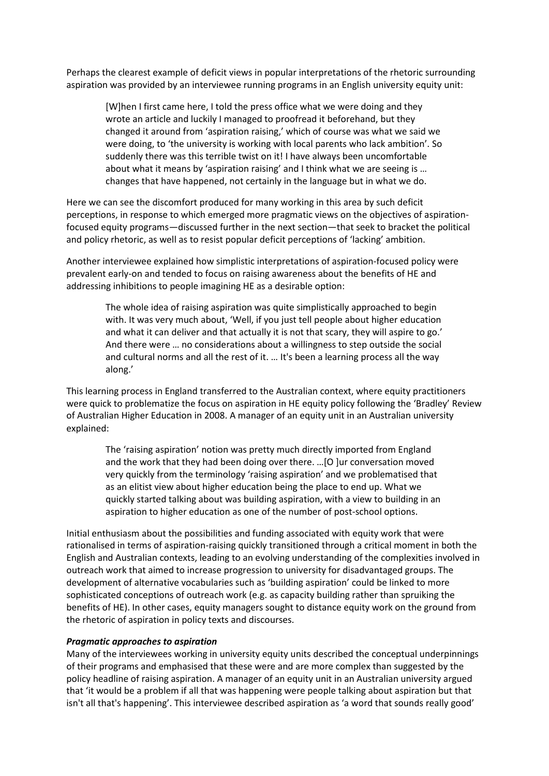Perhaps the clearest example of deficit views in popular interpretations of the rhetoric surrounding aspiration was provided by an interviewee running programs in an English university equity unit:

[W]hen I first came here, I told the press office what we were doing and they wrote an article and luckily I managed to proofread it beforehand, but they changed it around from 'aspiration raising,' which of course was what we said we were doing, to 'the university is working with local parents who lack ambition'. So suddenly there was this terrible twist on it! I have always been uncomfortable about what it means by 'aspiration raising' and I think what we are seeing is … changes that have happened, not certainly in the language but in what we do.

Here we can see the discomfort produced for many working in this area by such deficit perceptions, in response to which emerged more pragmatic views on the objectives of aspirationfocused equity programs—discussed further in the next section—that seek to bracket the political and policy rhetoric, as well as to resist popular deficit perceptions of 'lacking' ambition.

Another interviewee explained how simplistic interpretations of aspiration-focused policy were prevalent early-on and tended to focus on raising awareness about the benefits of HE and addressing inhibitions to people imagining HE as a desirable option:

The whole idea of raising aspiration was quite simplistically approached to begin with. It was very much about, 'Well, if you just tell people about higher education and what it can deliver and that actually it is not that scary, they will aspire to go.' And there were … no considerations about a willingness to step outside the social and cultural norms and all the rest of it. … It's been a learning process all the way along.'

This learning process in England transferred to the Australian context, where equity practitioners were quick to problematize the focus on aspiration in HE equity policy following the 'Bradley' Review of Australian Higher Education in 2008. A manager of an equity unit in an Australian university explained:

The 'raising aspiration' notion was pretty much directly imported from England and the work that they had been doing over there. …[O ]ur conversation moved very quickly from the terminology 'raising aspiration' and we problematised that as an elitist view about higher education being the place to end up. What we quickly started talking about was building aspiration, with a view to building in an aspiration to higher education as one of the number of post-school options.

Initial enthusiasm about the possibilities and funding associated with equity work that were rationalised in terms of aspiration-raising quickly transitioned through a critical moment in both the English and Australian contexts, leading to an evolving understanding of the complexities involved in outreach work that aimed to increase progression to university for disadvantaged groups. The development of alternative vocabularies such as 'building aspiration' could be linked to more sophisticated conceptions of outreach work (e.g. as capacity building rather than spruiking the benefits of HE). In other cases, equity managers sought to distance equity work on the ground from the rhetoric of aspiration in policy texts and discourses.

## *Pragmatic approaches to aspiration*

Many of the interviewees working in university equity units described the conceptual underpinnings of their programs and emphasised that these were and are more complex than suggested by the policy headline of raising aspiration. A manager of an equity unit in an Australian university argued that 'it would be a problem if all that was happening were people talking about aspiration but that isn't all that's happening'. This interviewee described aspiration as 'a word that sounds really good'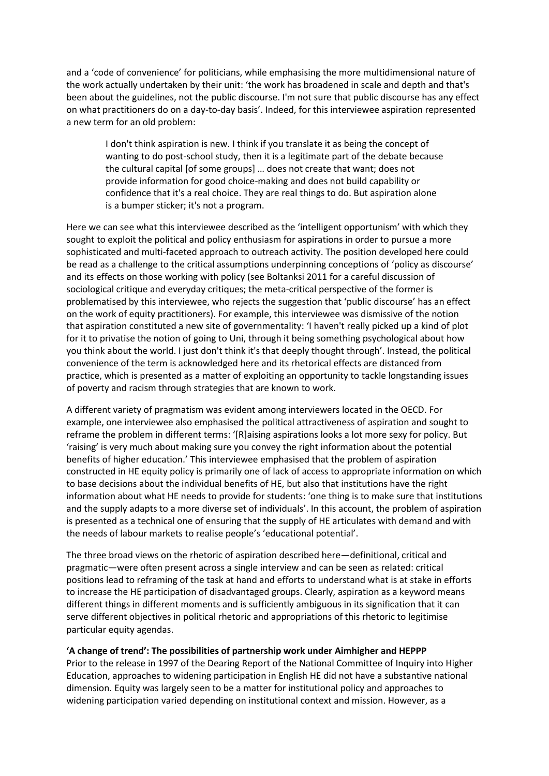and a 'code of convenience' for politicians, while emphasising the more multidimensional nature of the work actually undertaken by their unit: 'the work has broadened in scale and depth and that's been about the guidelines, not the public discourse. I'm not sure that public discourse has any effect on what practitioners do on a day-to-day basis'. Indeed, for this interviewee aspiration represented a new term for an old problem:

I don't think aspiration is new. I think if you translate it as being the concept of wanting to do post-school study, then it is a legitimate part of the debate because the cultural capital [of some groups] … does not create that want; does not provide information for good choice-making and does not build capability or confidence that it's a real choice. They are real things to do. But aspiration alone is a bumper sticker; it's not a program.

Here we can see what this interviewee described as the 'intelligent opportunism' with which they sought to exploit the political and policy enthusiasm for aspirations in order to pursue a more sophisticated and multi-faceted approach to outreach activity. The position developed here could be read as a challenge to the critical assumptions underpinning conceptions of 'policy as discourse' and its effects on those working with policy (see Boltanksi 2011 for a careful discussion of sociological critique and everyday critiques; the meta-critical perspective of the former is problematised by this interviewee, who rejects the suggestion that 'public discourse' has an effect on the work of equity practitioners). For example, this interviewee was dismissive of the notion that aspiration constituted a new site of governmentality: 'I haven't really picked up a kind of plot for it to privatise the notion of going to Uni, through it being something psychological about how you think about the world. I just don't think it's that deeply thought through'. Instead, the political convenience of the term is acknowledged here and its rhetorical effects are distanced from practice, which is presented as a matter of exploiting an opportunity to tackle longstanding issues of poverty and racism through strategies that are known to work.

A different variety of pragmatism was evident among interviewers located in the OECD. For example, one interviewee also emphasised the political attractiveness of aspiration and sought to reframe the problem in different terms: '[R]aising aspirations looks a lot more sexy for policy. But 'raising' is very much about making sure you convey the right information about the potential benefits of higher education.' This interviewee emphasised that the problem of aspiration constructed in HE equity policy is primarily one of lack of access to appropriate information on which to base decisions about the individual benefits of HE, but also that institutions have the right information about what HE needs to provide for students: 'one thing is to make sure that institutions and the supply adapts to a more diverse set of individuals'. In this account, the problem of aspiration is presented as a technical one of ensuring that the supply of HE articulates with demand and with the needs of labour markets to realise people's 'educational potential'.

The three broad views on the rhetoric of aspiration described here—definitional, critical and pragmatic—were often present across a single interview and can be seen as related: critical positions lead to reframing of the task at hand and efforts to understand what is at stake in efforts to increase the HE participation of disadvantaged groups. Clearly, aspiration as a keyword means different things in different moments and is sufficiently ambiguous in its signification that it can serve different objectives in political rhetoric and appropriations of this rhetoric to legitimise particular equity agendas.

## **'A change of trend': The possibilities of partnership work under Aimhigher and HEPPP**

Prior to the release in 1997 of the Dearing Report of the National Committee of Inquiry into Higher Education, approaches to widening participation in English HE did not have a substantive national dimension. Equity was largely seen to be a matter for institutional policy and approaches to widening participation varied depending on institutional context and mission. However, as a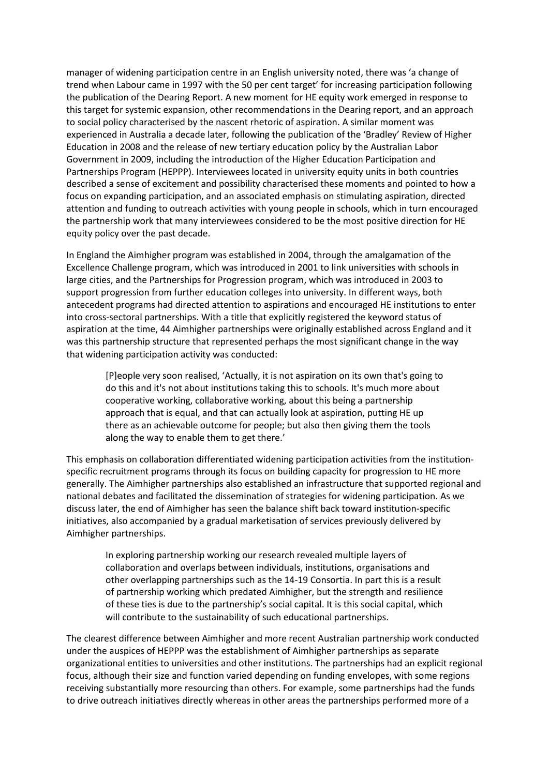manager of widening participation centre in an English university noted, there was 'a change of trend when Labour came in 1997 with the 50 per cent target' for increasing participation following the publication of the Dearing Report. A new moment for HE equity work emerged in response to this target for systemic expansion, other recommendations in the Dearing report, and an approach to social policy characterised by the nascent rhetoric of aspiration. A similar moment was experienced in Australia a decade later, following the publication of the 'Bradley' Review of Higher Education in 2008 and the release of new tertiary education policy by the Australian Labor Government in 2009, including the introduction of the Higher Education Participation and Partnerships Program (HEPPP). Interviewees located in university equity units in both countries described a sense of excitement and possibility characterised these moments and pointed to how a focus on expanding participation, and an associated emphasis on stimulating aspiration, directed attention and funding to outreach activities with young people in schools, which in turn encouraged the partnership work that many interviewees considered to be the most positive direction for HE equity policy over the past decade.

In England the Aimhigher program was established in 2004, through the amalgamation of the Excellence Challenge program, which was introduced in 2001 to link universities with schools in large cities, and the Partnerships for Progression program, which was introduced in 2003 to support progression from further education colleges into university. In different ways, both antecedent programs had directed attention to aspirations and encouraged HE institutions to enter into cross-sectoral partnerships. With a title that explicitly registered the keyword status of aspiration at the time, 44 Aimhigher partnerships were originally established across England and it was this partnership structure that represented perhaps the most significant change in the way that widening participation activity was conducted:

[P]eople very soon realised, 'Actually, it is not aspiration on its own that's going to do this and it's not about institutions taking this to schools. It's much more about cooperative working, collaborative working, about this being a partnership approach that is equal, and that can actually look at aspiration, putting HE up there as an achievable outcome for people; but also then giving them the tools along the way to enable them to get there.'

This emphasis on collaboration differentiated widening participation activities from the institutionspecific recruitment programs through its focus on building capacity for progression to HE more generally. The Aimhigher partnerships also established an infrastructure that supported regional and national debates and facilitated the dissemination of strategies for widening participation. As we discuss later, the end of Aimhigher has seen the balance shift back toward institution-specific initiatives, also accompanied by a gradual marketisation of services previously delivered by Aimhigher partnerships.

In exploring partnership working our research revealed multiple layers of collaboration and overlaps between individuals, institutions, organisations and other overlapping partnerships such as the 14-19 Consortia. In part this is a result of partnership working which predated Aimhigher, but the strength and resilience of these ties is due to the partnership's social capital. It is this social capital, which will contribute to the sustainability of such educational partnerships.

The clearest difference between Aimhigher and more recent Australian partnership work conducted under the auspices of HEPPP was the establishment of Aimhigher partnerships as separate organizational entities to universities and other institutions. The partnerships had an explicit regional focus, although their size and function varied depending on funding envelopes, with some regions receiving substantially more resourcing than others. For example, some partnerships had the funds to drive outreach initiatives directly whereas in other areas the partnerships performed more of a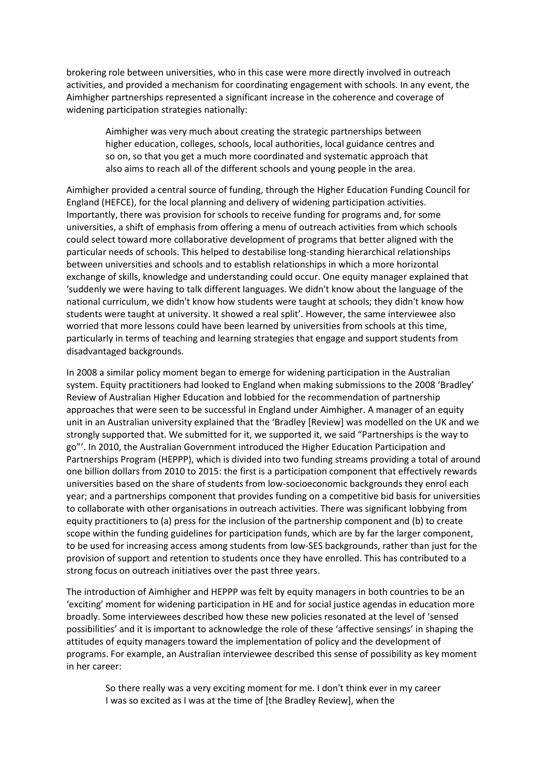brokering role between universities, who in this case were more directly involved in outreach activities, and provided a mechanism for coordinating engagement with schools. In any event, the Aimhigher partnerships represented a significant increase in the coherence and coverage of widening participation strategies nationally:

Aimhigher was very much about creating the strategic partnerships between higher education, colleges, schools, local authorities, local guidance centres and so on, so that you get a much more coordinated and systematic approach that also aims to reach all of the different schools and young people in the area.

Aimhigher provided a central source of funding, through the Higher Education Funding Council for England (HEFCE), for the local planning and delivery of widening participation activities. Importantly, there was provision for schools to receive funding for programs and, for some universities, a shift of emphasis from offering a menu of outreach activities from which schools could select toward more collaborative development of programs that better aligned with the particular needs of schools. This helped to destabilise long-standing hierarchical relationships between universities and schools and to establish relationships in which a more horizontal exchange of skills, knowledge and understanding could occur. One equity manager explained that 'suddenly we were having to talk different languages. We didn't know about the language of the national curriculum, we didn't know how students were taught at schools; they didn't know how students were taught at university. It showed a real split'. However, the same interviewee also worried that more lessons could have been learned by universities from schools at this time, particularly in terms of teaching and learning strategies that engage and support students from disadvantaged backgrounds.

In 2008 a similar policy moment began to emerge for widening participation in the Australian system. Equity practitioners had looked to England when making submissions to the 2008 'Bradley' Review of Australian Higher Education and lobbied for the recommendation of partnership approaches that were seen to be successful in England under Aimhigher. A manager of an equity unit in an Australian university explained that the 'Bradley [Review] was modelled on the UK and we strongly supported that. We submitted for it, we supported it, we said "Partnerships is the way to go"'. In 2010, the Australian Government introduced the Higher Education Participation and Partnerships Program (HEPPP), which is divided into two funding streams providing a total of around one billion dollars from 2010 to 2015: the first is a participation component that effectively rewards universities based on the share of students from low-socioeconomic backgrounds they enrol each year; and a partnerships component that provides funding on a competitive bid basis for universities to collaborate with other organisations in outreach activities. There was significant lobbying from equity practitioners to (a) press for the inclusion of the partnership component and (b) to create scope within the funding guidelines for participation funds, which are by far the larger component, to be used for increasing access among students from low-SES backgrounds, rather than just for the provision of support and retention to students once they have enrolled. This has contributed to a strong focus on outreach initiatives over the past three years.

The introduction of Aimhigher and HEPPP was felt by equity managers in both countries to be an 'exciting' moment for widening participation in HE and for social justice agendas in education more broadly. Some interviewees described how these new policies resonated at the level of 'sensed possibilities' and it is important to acknowledge the role of these 'affective sensings' in shaping the attitudes of equity managers toward the implementation of policy and the development of programs. For example, an Australian interviewee described this sense of possibility as key moment in her career:

So there really was a very exciting moment for me. I don't think ever in my career I was so excited as I was at the time of [the Bradley Review], when the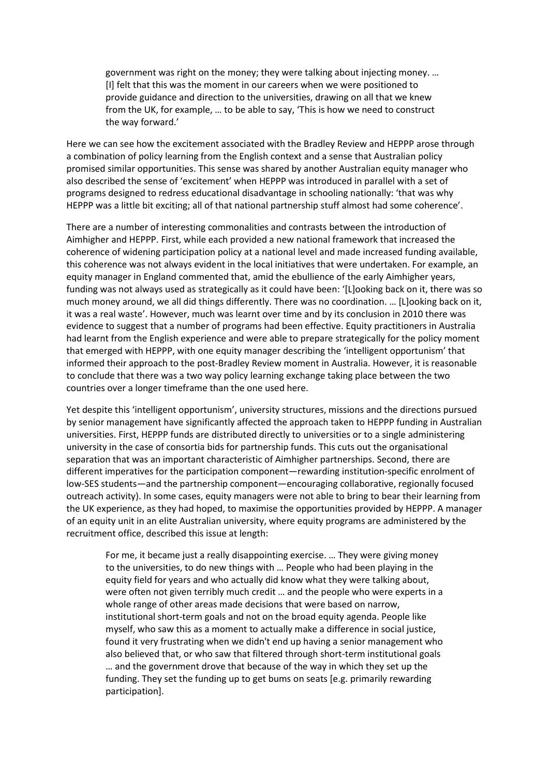government was right on the money; they were talking about injecting money. … [I] felt that this was the moment in our careers when we were positioned to provide guidance and direction to the universities, drawing on all that we knew from the UK, for example, … to be able to say, 'This is how we need to construct the way forward.'

Here we can see how the excitement associated with the Bradley Review and HEPPP arose through a combination of policy learning from the English context and a sense that Australian policy promised similar opportunities. This sense was shared by another Australian equity manager who also described the sense of 'excitement' when HEPPP was introduced in parallel with a set of programs designed to redress educational disadvantage in schooling nationally: 'that was why HEPPP was a little bit exciting; all of that national partnership stuff almost had some coherence'.

There are a number of interesting commonalities and contrasts between the introduction of Aimhigher and HEPPP. First, while each provided a new national framework that increased the coherence of widening participation policy at a national level and made increased funding available, this coherence was not always evident in the local initiatives that were undertaken. For example, an equity manager in England commented that, amid the ebullience of the early Aimhigher years, funding was not always used as strategically as it could have been: '[L]ooking back on it, there was so much money around, we all did things differently. There was no coordination. … [L]ooking back on it, it was a real waste'. However, much was learnt over time and by its conclusion in 2010 there was evidence to suggest that a number of programs had been effective. Equity practitioners in Australia had learnt from the English experience and were able to prepare strategically for the policy moment that emerged with HEPPP, with one equity manager describing the 'intelligent opportunism' that informed their approach to the post-Bradley Review moment in Australia. However, it is reasonable to conclude that there was a two way policy learning exchange taking place between the two countries over a longer timeframe than the one used here.

Yet despite this 'intelligent opportunism', university structures, missions and the directions pursued by senior management have significantly affected the approach taken to HEPPP funding in Australian universities. First, HEPPP funds are distributed directly to universities or to a single administering university in the case of consortia bids for partnership funds. This cuts out the organisational separation that was an important characteristic of Aimhigher partnerships. Second, there are different imperatives for the participation component—rewarding institution-specific enrolment of low-SES students—and the partnership component—encouraging collaborative, regionally focused outreach activity). In some cases, equity managers were not able to bring to bear their learning from the UK experience, as they had hoped, to maximise the opportunities provided by HEPPP. A manager of an equity unit in an elite Australian university, where equity programs are administered by the recruitment office, described this issue at length:

For me, it became just a really disappointing exercise. … They were giving money to the universities, to do new things with … People who had been playing in the equity field for years and who actually did know what they were talking about, were often not given terribly much credit … and the people who were experts in a whole range of other areas made decisions that were based on narrow, institutional short-term goals and not on the broad equity agenda. People like myself, who saw this as a moment to actually make a difference in social justice, found it very frustrating when we didn't end up having a senior management who also believed that, or who saw that filtered through short-term institutional goals … and the government drove that because of the way in which they set up the funding. They set the funding up to get bums on seats [e.g. primarily rewarding participation].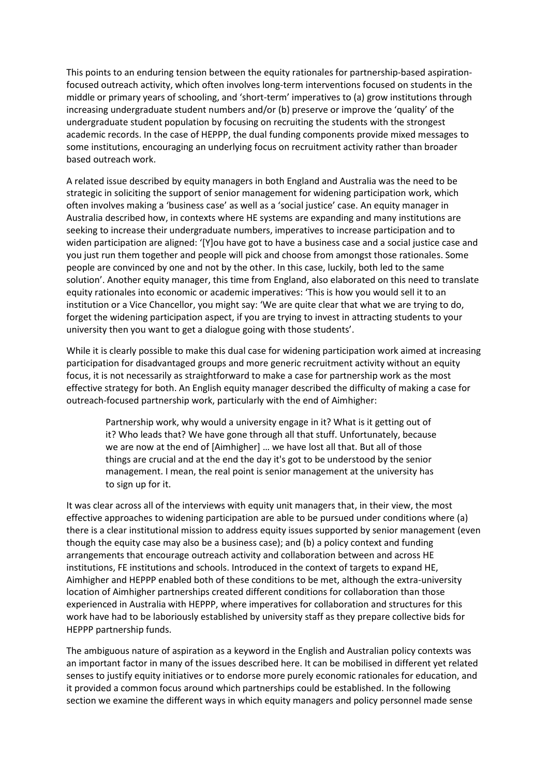This points to an enduring tension between the equity rationales for partnership-based aspirationfocused outreach activity, which often involves long-term interventions focused on students in the middle or primary years of schooling, and 'short-term' imperatives to (a) grow institutions through increasing undergraduate student numbers and/or (b) preserve or improve the 'quality' of the undergraduate student population by focusing on recruiting the students with the strongest academic records. In the case of HEPPP, the dual funding components provide mixed messages to some institutions, encouraging an underlying focus on recruitment activity rather than broader based outreach work.

A related issue described by equity managers in both England and Australia was the need to be strategic in soliciting the support of senior management for widening participation work, which often involves making a 'business case' as well as a 'social justice' case. An equity manager in Australia described how, in contexts where HE systems are expanding and many institutions are seeking to increase their undergraduate numbers, imperatives to increase participation and to widen participation are aligned: '[Y]ou have got to have a business case and a social justice case and you just run them together and people will pick and choose from amongst those rationales. Some people are convinced by one and not by the other. In this case, luckily, both led to the same solution'. Another equity manager, this time from England, also elaborated on this need to translate equity rationales into economic or academic imperatives: 'This is how you would sell it to an institution or a Vice Chancellor, you might say: 'We are quite clear that what we are trying to do, forget the widening participation aspect, if you are trying to invest in attracting students to your university then you want to get a dialogue going with those students'.

While it is clearly possible to make this dual case for widening participation work aimed at increasing participation for disadvantaged groups and more generic recruitment activity without an equity focus, it is not necessarily as straightforward to make a case for partnership work as the most effective strategy for both. An English equity manager described the difficulty of making a case for outreach-focused partnership work, particularly with the end of Aimhigher:

Partnership work, why would a university engage in it? What is it getting out of it? Who leads that? We have gone through all that stuff. Unfortunately, because we are now at the end of [Aimhigher] … we have lost all that. But all of those things are crucial and at the end the day it's got to be understood by the senior management. I mean, the real point is senior management at the university has to sign up for it.

It was clear across all of the interviews with equity unit managers that, in their view, the most effective approaches to widening participation are able to be pursued under conditions where (a) there is a clear institutional mission to address equity issues supported by senior management (even though the equity case may also be a business case); and (b) a policy context and funding arrangements that encourage outreach activity and collaboration between and across HE institutions, FE institutions and schools. Introduced in the context of targets to expand HE, Aimhigher and HEPPP enabled both of these conditions to be met, although the extra-university location of Aimhigher partnerships created different conditions for collaboration than those experienced in Australia with HEPPP, where imperatives for collaboration and structures for this work have had to be laboriously established by university staff as they prepare collective bids for HEPPP partnership funds.

The ambiguous nature of aspiration as a keyword in the English and Australian policy contexts was an important factor in many of the issues described here. It can be mobilised in different yet related senses to justify equity initiatives or to endorse more purely economic rationales for education, and it provided a common focus around which partnerships could be established. In the following section we examine the different ways in which equity managers and policy personnel made sense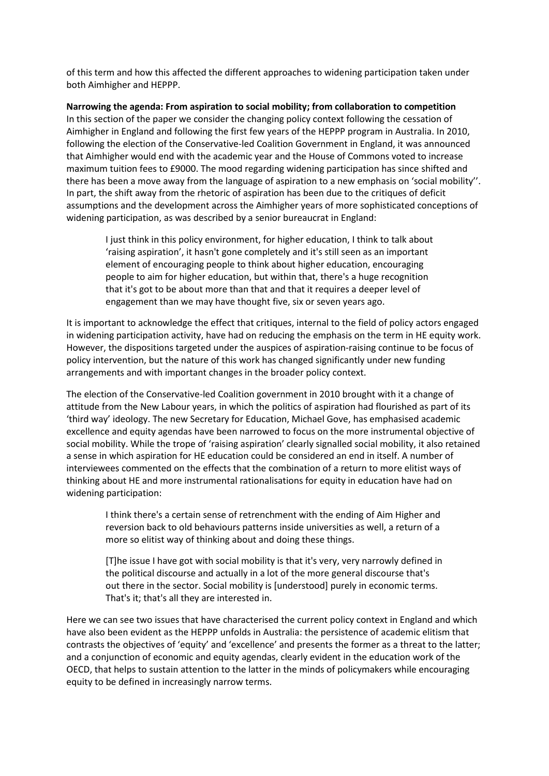of this term and how this affected the different approaches to widening participation taken under both Aimhigher and HEPPP.

**Narrowing the agenda: From aspiration to social mobility; from collaboration to competition** In this section of the paper we consider the changing policy context following the cessation of Aimhigher in England and following the first few years of the HEPPP program in Australia. In 2010, following the election of the Conservative-led Coalition Government in England, it was announced that Aimhigher would end with the academic year and the House of Commons voted to increase maximum tuition fees to £9000. The mood regarding widening participation has since shifted and there has been a move away from the language of aspiration to a new emphasis on 'social mobility''. In part, the shift away from the rhetoric of aspiration has been due to the critiques of deficit assumptions and the development across the Aimhigher years of more sophisticated conceptions of widening participation, as was described by a senior bureaucrat in England:

I just think in this policy environment, for higher education, I think to talk about 'raising aspiration', it hasn't gone completely and it's still seen as an important element of encouraging people to think about higher education, encouraging people to aim for higher education, but within that, there's a huge recognition that it's got to be about more than that and that it requires a deeper level of engagement than we may have thought five, six or seven years ago.

It is important to acknowledge the effect that critiques, internal to the field of policy actors engaged in widening participation activity, have had on reducing the emphasis on the term in HE equity work. However, the dispositions targeted under the auspices of aspiration-raising continue to be focus of policy intervention, but the nature of this work has changed significantly under new funding arrangements and with important changes in the broader policy context.

The election of the Conservative-led Coalition government in 2010 brought with it a change of attitude from the New Labour years, in which the politics of aspiration had flourished as part of its 'third way' ideology. The new Secretary for Education, Michael Gove, has emphasised academic excellence and equity agendas have been narrowed to focus on the more instrumental objective of social mobility. While the trope of 'raising aspiration' clearly signalled social mobility, it also retained a sense in which aspiration for HE education could be considered an end in itself. A number of interviewees commented on the effects that the combination of a return to more elitist ways of thinking about HE and more instrumental rationalisations for equity in education have had on widening participation:

I think there's a certain sense of retrenchment with the ending of Aim Higher and reversion back to old behaviours patterns inside universities as well, a return of a more so elitist way of thinking about and doing these things.

[T]he issue I have got with social mobility is that it's very, very narrowly defined in the political discourse and actually in a lot of the more general discourse that's out there in the sector. Social mobility is [understood] purely in economic terms. That's it; that's all they are interested in.

Here we can see two issues that have characterised the current policy context in England and which have also been evident as the HEPPP unfolds in Australia: the persistence of academic elitism that contrasts the objectives of 'equity' and 'excellence' and presents the former as a threat to the latter; and a conjunction of economic and equity agendas, clearly evident in the education work of the OECD, that helps to sustain attention to the latter in the minds of policymakers while encouraging equity to be defined in increasingly narrow terms.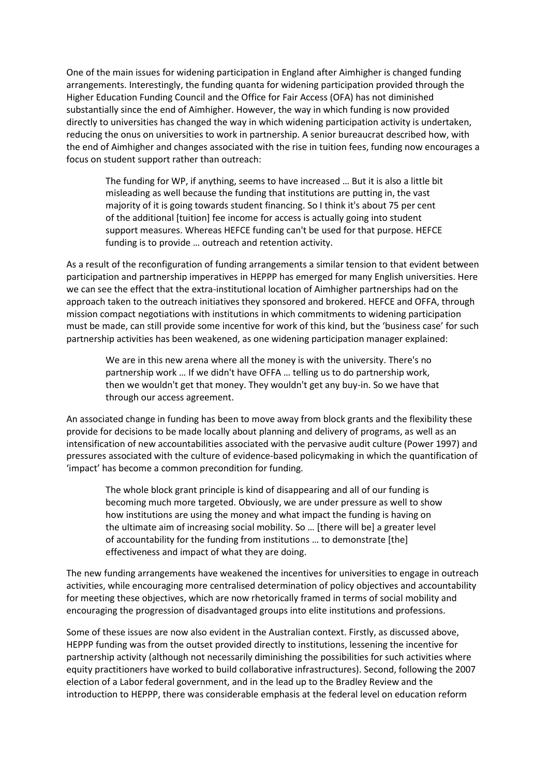One of the main issues for widening participation in England after Aimhigher is changed funding arrangements. Interestingly, the funding quanta for widening participation provided through the Higher Education Funding Council and the Office for Fair Access (OFA) has not diminished substantially since the end of Aimhigher. However, the way in which funding is now provided directly to universities has changed the way in which widening participation activity is undertaken, reducing the onus on universities to work in partnership. A senior bureaucrat described how, with the end of Aimhigher and changes associated with the rise in tuition fees, funding now encourages a focus on student support rather than outreach:

The funding for WP, if anything, seems to have increased … But it is also a little bit misleading as well because the funding that institutions are putting in, the vast majority of it is going towards student financing. So I think it's about 75 per cent of the additional [tuition] fee income for access is actually going into student support measures. Whereas HEFCE funding can't be used for that purpose. HEFCE funding is to provide … outreach and retention activity.

As a result of the reconfiguration of funding arrangements a similar tension to that evident between participation and partnership imperatives in HEPPP has emerged for many English universities. Here we can see the effect that the extra-institutional location of Aimhigher partnerships had on the approach taken to the outreach initiatives they sponsored and brokered. HEFCE and OFFA, through mission compact negotiations with institutions in which commitments to widening participation must be made, can still provide some incentive for work of this kind, but the 'business case' for such partnership activities has been weakened, as one widening participation manager explained:

We are in this new arena where all the money is with the university. There's no partnership work … If we didn't have OFFA … telling us to do partnership work, then we wouldn't get that money. They wouldn't get any buy-in. So we have that through our access agreement.

An associated change in funding has been to move away from block grants and the flexibility these provide for decisions to be made locally about planning and delivery of programs, as well as an intensification of new accountabilities associated with the pervasive audit culture (Power 1997) and pressures associated with the culture of evidence-based policymaking in which the quantification of 'impact' has become a common precondition for funding.

The whole block grant principle is kind of disappearing and all of our funding is becoming much more targeted. Obviously, we are under pressure as well to show how institutions are using the money and what impact the funding is having on the ultimate aim of increasing social mobility. So … [there will be] a greater level of accountability for the funding from institutions … to demonstrate [the] effectiveness and impact of what they are doing.

The new funding arrangements have weakened the incentives for universities to engage in outreach activities, while encouraging more centralised determination of policy objectives and accountability for meeting these objectives, which are now rhetorically framed in terms of social mobility and encouraging the progression of disadvantaged groups into elite institutions and professions.

Some of these issues are now also evident in the Australian context. Firstly, as discussed above, HEPPP funding was from the outset provided directly to institutions, lessening the incentive for partnership activity (although not necessarily diminishing the possibilities for such activities where equity practitioners have worked to build collaborative infrastructures). Second, following the 2007 election of a Labor federal government, and in the lead up to the Bradley Review and the introduction to HEPPP, there was considerable emphasis at the federal level on education reform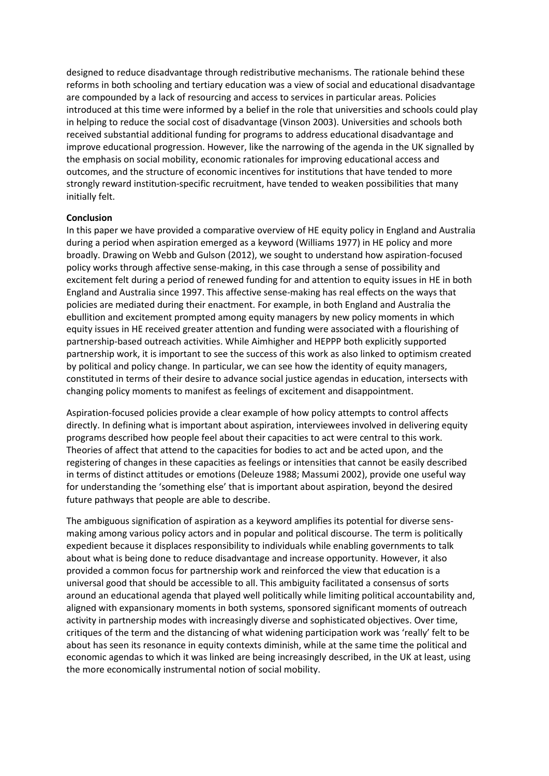designed to reduce disadvantage through redistributive mechanisms. The rationale behind these reforms in both schooling and tertiary education was a view of social and educational disadvantage are compounded by a lack of resourcing and access to services in particular areas. Policies introduced at this time were informed by a belief in the role that universities and schools could play in helping to reduce the social cost of disadvantage (Vinson 2003). Universities and schools both received substantial additional funding for programs to address educational disadvantage and improve educational progression. However, like the narrowing of the agenda in the UK signalled by the emphasis on social mobility, economic rationales for improving educational access and outcomes, and the structure of economic incentives for institutions that have tended to more strongly reward institution-specific recruitment, have tended to weaken possibilities that many initially felt.

## **Conclusion**

In this paper we have provided a comparative overview of HE equity policy in England and Australia during a period when aspiration emerged as a keyword (Williams 1977) in HE policy and more broadly. Drawing on Webb and Gulson (2012), we sought to understand how aspiration-focused policy works through affective sense-making, in this case through a sense of possibility and excitement felt during a period of renewed funding for and attention to equity issues in HE in both England and Australia since 1997. This affective sense-making has real effects on the ways that policies are mediated during their enactment. For example, in both England and Australia the ebullition and excitement prompted among equity managers by new policy moments in which equity issues in HE received greater attention and funding were associated with a flourishing of partnership-based outreach activities. While Aimhigher and HEPPP both explicitly supported partnership work, it is important to see the success of this work as also linked to optimism created by political and policy change. In particular, we can see how the identity of equity managers, constituted in terms of their desire to advance social justice agendas in education, intersects with changing policy moments to manifest as feelings of excitement and disappointment.

Aspiration-focused policies provide a clear example of how policy attempts to control affects directly. In defining what is important about aspiration, interviewees involved in delivering equity programs described how people feel about their capacities to act were central to this work. Theories of affect that attend to the capacities for bodies to act and be acted upon, and the registering of changes in these capacities as feelings or intensities that cannot be easily described in terms of distinct attitudes or emotions (Deleuze 1988; Massumi 2002), provide one useful way for understanding the 'something else' that is important about aspiration, beyond the desired future pathways that people are able to describe.

The ambiguous signification of aspiration as a keyword amplifies its potential for diverse sensmaking among various policy actors and in popular and political discourse. The term is politically expedient because it displaces responsibility to individuals while enabling governments to talk about what is being done to reduce disadvantage and increase opportunity. However, it also provided a common focus for partnership work and reinforced the view that education is a universal good that should be accessible to all. This ambiguity facilitated a consensus of sorts around an educational agenda that played well politically while limiting political accountability and, aligned with expansionary moments in both systems, sponsored significant moments of outreach activity in partnership modes with increasingly diverse and sophisticated objectives. Over time, critiques of the term and the distancing of what widening participation work was 'really' felt to be about has seen its resonance in equity contexts diminish, while at the same time the political and economic agendas to which it was linked are being increasingly described, in the UK at least, using the more economically instrumental notion of social mobility.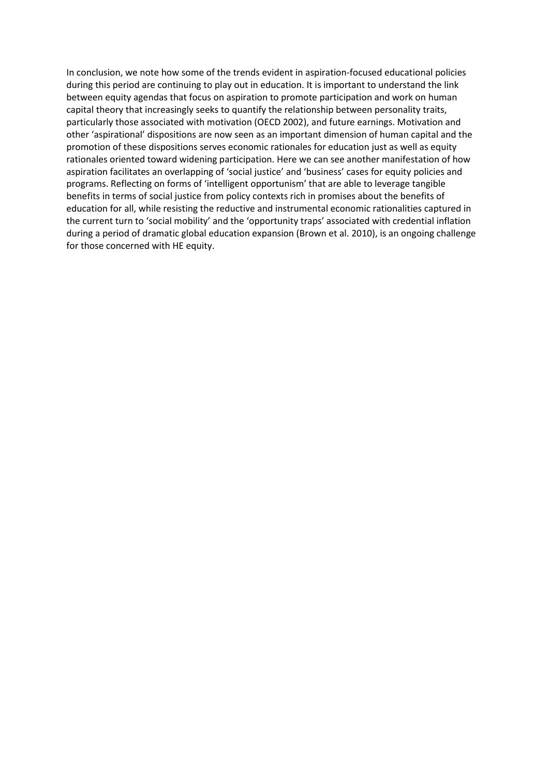In conclusion, we note how some of the trends evident in aspiration-focused educational policies during this period are continuing to play out in education. It is important to understand the link between equity agendas that focus on aspiration to promote participation and work on human capital theory that increasingly seeks to quantify the relationship between personality traits, particularly those associated with motivation (OECD 2002), and future earnings. Motivation and other 'aspirational' dispositions are now seen as an important dimension of human capital and the promotion of these dispositions serves economic rationales for education just as well as equity rationales oriented toward widening participation. Here we can see another manifestation of how aspiration facilitates an overlapping of 'social justice' and 'business' cases for equity policies and programs. Reflecting on forms of 'intelligent opportunism' that are able to leverage tangible benefits in terms of social justice from policy contexts rich in promises about the benefits of education for all, while resisting the reductive and instrumental economic rationalities captured in the current turn to 'social mobility' and the 'opportunity traps' associated with credential inflation during a period of dramatic global education expansion (Brown et al. 2010), is an ongoing challenge for those concerned with HE equity.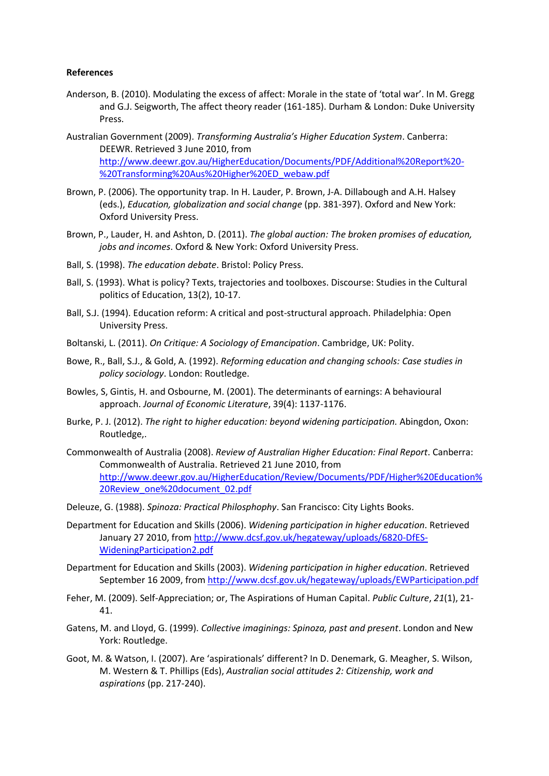#### **References**

- Anderson, B. (2010). Modulating the excess of affect: Morale in the state of 'total war'. In M. Gregg and G.J. Seigworth, The affect theory reader (161-185). Durham & London: Duke University Press.
- Australian Government (2009). *Transforming Australia's Higher Education System*. Canberra: DEEWR. Retrieved 3 June 2010, from [http://www.deewr.gov.au/HigherEducation/Documents/PDF/Additional%20Report%20-](http://www.deewr.gov.au/HigherEducation/Documents/PDF/Additional%20Report%20-%20Transforming%20Aus%20Higher%20ED_webaw.pdf) [%20Transforming%20Aus%20Higher%20ED\\_webaw.pdf](http://www.deewr.gov.au/HigherEducation/Documents/PDF/Additional%20Report%20-%20Transforming%20Aus%20Higher%20ED_webaw.pdf)
- Brown, P. (2006). The opportunity trap. In H. Lauder, P. Brown, J-A. Dillabough and A.H. Halsey (eds.), *Education, globalization and social change* (pp. 381-397). Oxford and New York: Oxford University Press.
- Brown, P., Lauder, H. and Ashton, D. (2011). *The global auction: The broken promises of education, jobs and incomes*. Oxford & New York: Oxford University Press.
- Ball, S. (1998). *The education debate*. Bristol: Policy Press.
- Ball, S. (1993). What is policy? Texts, trajectories and toolboxes. Discourse: Studies in the Cultural politics of Education, 13(2), 10-17.
- Ball, S.J. (1994). Education reform: A critical and post-structural approach. Philadelphia: Open University Press.
- Boltanski, L. (2011). *On Critique: A Sociology of Emancipation*. Cambridge, UK: Polity.
- Bowe, R., Ball, S.J., & Gold, A. (1992). *Reforming education and changing schools: Case studies in policy sociology*. London: Routledge.
- Bowles, S, Gintis, H. and Osbourne, M. (2001). The determinants of earnings: A behavioural approach. *Journal of Economic Literature*, 39(4): 1137-1176.
- Burke, P. J. (2012). *The right to higher education: beyond widening participation.* Abingdon, Oxon: Routledge,.
- Commonwealth of Australia (2008). *Review of Australian Higher Education: Final Report*. Canberra: Commonwealth of Australia. Retrieved 21 June 2010, from [http://www.deewr.gov.au/HigherEducation/Review/Documents/PDF/Higher%20Education%](http://www.deewr.gov.au/HigherEducation/Review/Documents/PDF/Higher%20Education%20Review_one%20document_02.pdf) [20Review\\_one%20document\\_02.pdf](http://www.deewr.gov.au/HigherEducation/Review/Documents/PDF/Higher%20Education%20Review_one%20document_02.pdf)
- Deleuze, G. (1988). *Spinoza: Practical Philosphophy*. San Francisco: City Lights Books.
- Department for Education and Skills (2006). *Widening participation in higher education*. Retrieved January 27 2010, from [http://www.dcsf.gov.uk/hegateway/uploads/6820-DfES-](http://www.dcsf.gov.uk/hegateway/uploads/6820-DfES-WideningParticipation2.pdf)[WideningParticipation2.pdf](http://www.dcsf.gov.uk/hegateway/uploads/6820-DfES-WideningParticipation2.pdf)
- Department for Education and Skills (2003). *Widening participation in higher education*. Retrieved September 16 2009, from<http://www.dcsf.gov.uk/hegateway/uploads/EWParticipation.pdf>
- Feher, M. (2009). Self-Appreciation; or, The Aspirations of Human Capital. *Public Culture*, *21*(1), 21- 41.
- Gatens, M. and Lloyd, G. (1999). *Collective imaginings: Spinoza, past and present*. London and New York: Routledge.
- Goot, M. & Watson, I. (2007). Are 'aspirationals' different? In D. Denemark, G. Meagher, S. Wilson, M. Western & T. Phillips (Eds), *Australian social attitudes 2: Citizenship, work and aspirations* (pp. 217-240).